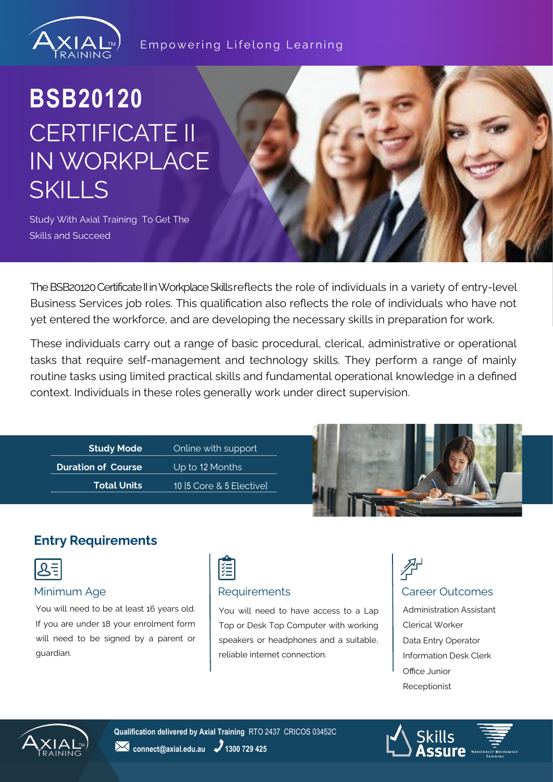

#### Empowering Lifelong Learning

# **BSB20120** CERTIFICATE II IN WORKPLACE SKILLS

Study With Axial Training To Get The Skills and Succeed

The BSB20120 Certificate II in Workplace Skills reflects the role of individuals in a variety of entry-level Business Services job roles. This qualification also reflects the role of individuals who have not yet entered the workforce, and are developing the necessary skills in preparation for work.

These individuals carry out a range of basic procedural, clerical, administrative or operational tasks that require self-management and technology skills. They perform a range of mainly routine tasks using limited practical skills and fundamental operational knowledge in a defined context. Individuals in these roles generally work under direct supervision.

**Example 3 Study Mode Study Mode Contine with support Continent (2) Study Mode Duration of Course Total Units**

**Duration of Course Up to 12 Months** \_\_\_\_\_\_\_\_\_\_\_\_\_\_\_\_\_\_\_\_\_\_\_\_\_\_\_\_\_\_\_\_\_\_\_\_\_\_\_\_\_\_\_\_\_\_\_\_\_\_\_\_\_\_\_\_\_\_\_\_\_\_\_\_ 10 [5 Core & 5 Elective]



## **Entry Requirements**



You will need to be at least 16 years old. If you are under 18 your enrolment form will need to be signed by a parent or guardian.



You will need to have access to a Lap Top or Desk Top Computer with working speakers or headphones and a suitable, reliable internet connection.

## 个 Minimum Age **Requirements Requirements Requirements Requirements Requirements**

Administration Assistant Clerical Worker Data Entry Operator Information Desk Clerk Office Junior Receptionist